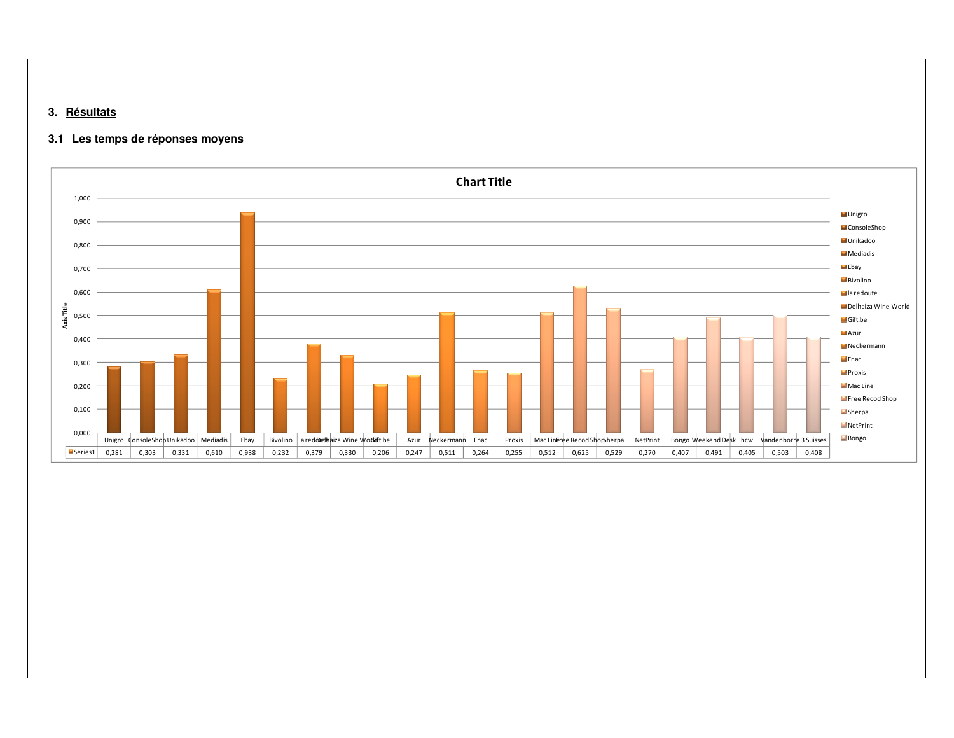## **3. Résultats**

## **3.1 Les temps de réponses moyens**